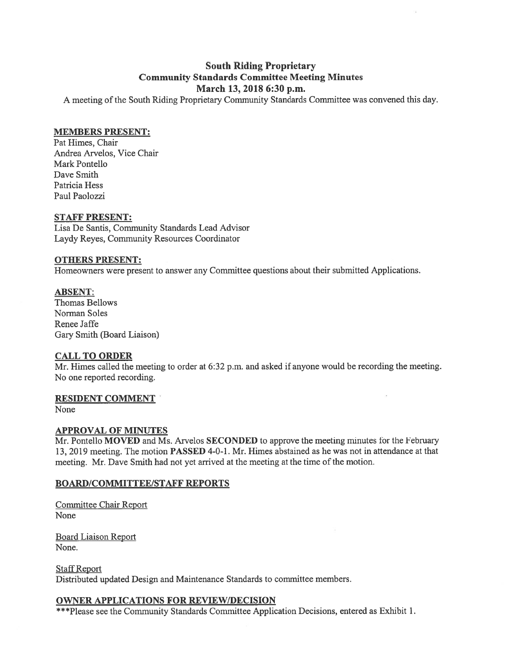# **South Riding Proprietary Community Standards Committee Meeting Minutes** March 13, 2018 6:30 p.m.

A meeting of the South Riding Proprietary Community Standards Committee was convened this day.

## **MEMBERS PRESENT:**

Pat Himes, Chair Andrea Arvelos, Vice Chair Mark Pontello Dave Smith Patricia Hess Paul Paolozzi

## **STAFF PRESENT:**

Lisa De Santis, Community Standards Lead Advisor Laydy Reyes, Community Resources Coordinator

## **OTHERS PRESENT:**

Homeowners were present to answer any Committee questions about their submitted Applications.

#### **ABSENT:**

Thomas Bellows Norman Soles Renee Jaffe Gary Smith (Board Liaison)

## **CALL TO ORDER**

Mr. Himes called the meeting to order at  $6:32$  p.m. and asked if anyone would be recording the meeting. No one reported recording.

## **RESIDENT COMMENT**

None

## **APPROVAL OF MINUTES**

Mr. Pontello MOVED and Ms. Arvelos SECONDED to approve the meeting minutes for the February 13, 2019 meeting. The motion PASSED 4-0-1. Mr. Himes abstained as he was not in attendance at that meeting. Mr. Dave Smith had not yet arrived at the meeting at the time of the motion.

## **BOARD/COMMITTEE/STAFF REPORTS**

**Committee Chair Report None** 

**Board Liaison Report** None.

**Staff Report** Distributed updated Design and Maintenance Standards to committee members.

## **OWNER APPLICATIONS FOR REVIEW/DECISION**

\*\*\*Please see the Community Standards Committee Application Decisions, entered as Exhibit 1.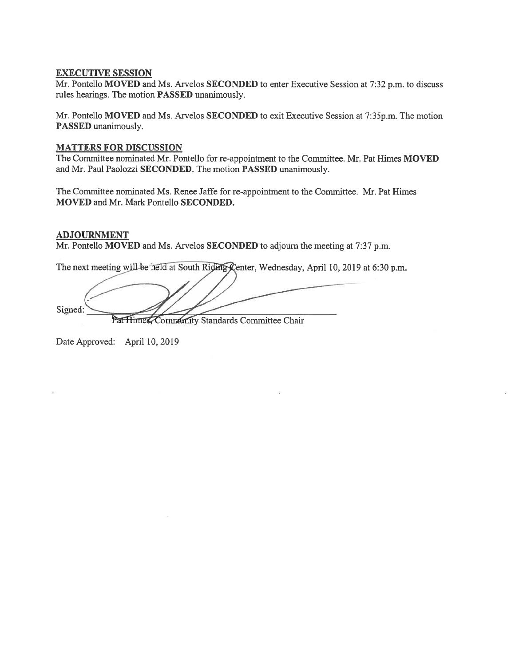#### **EXECUTIVE SESSION**

Mr. Pontello MOVED and Ms. Arvelos SECONDED to enter Executive Session at 7:32 p.m. to discuss rules hearings. The motion **PASSED** unanimously.

Mr. Pontello MOVED and Ms. Arvelos SECONDED to exit Executive Session at 7:35p.m. The motion PASSED unanimously.

#### **MATTERS FOR DISCUSSION**

The Committee nominated Mr. Pontello for re-appointment to the Committee. Mr. Pat Himes MOVED and Mr. Paul Paolozzi SECONDED. The motion PASSED unanimously.

The Committee nominated Ms. Renee Jaffe for re-appointment to the Committee. Mr. Pat Himes **MOVED** and Mr. Mark Pontello SECONDED.

## **ADJOURNMENT**

Mr. Pontello MOVED and Ms. Arvelos SECONDED to adjourn the meeting at 7:37 p.m.

The next meeting will be held at South Riding Center, Wednesday, April 10, 2019 at 6:30 p.m.

Signed: Pat Himes, Community Standards Committee Chair

Date Approved: April 10, 2019